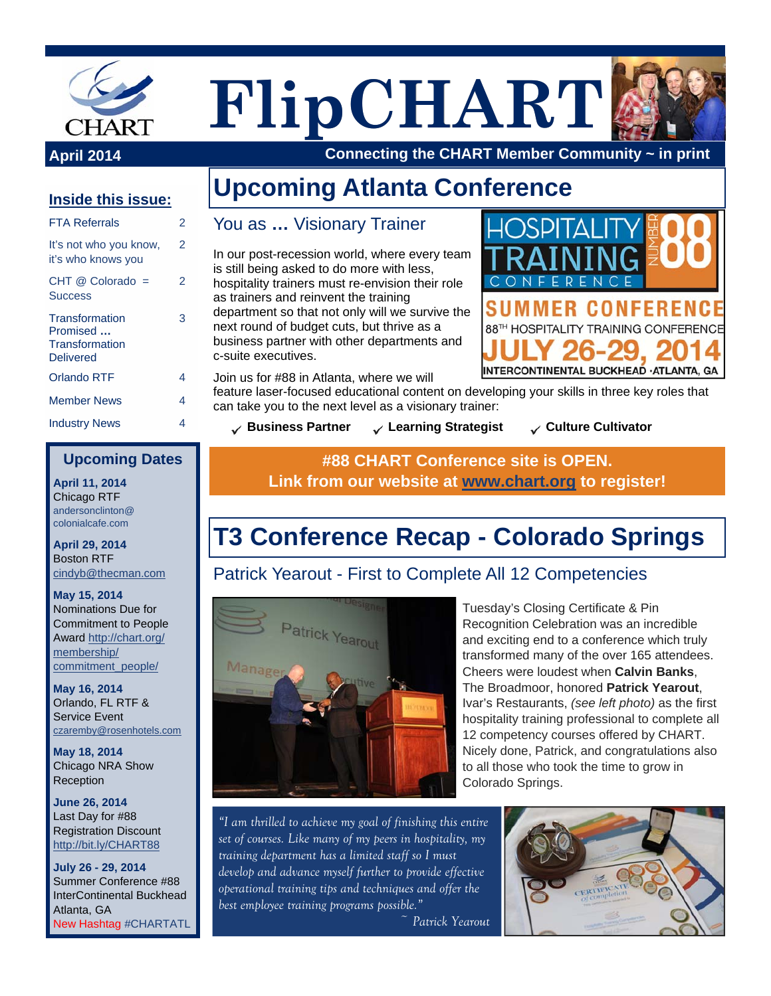

**FlipCHART**

**Upcoming Atlanta Conference** 



CONFEREN

**April 2014 Connecting the CHART Member Community ~ in print**

#### **Inside this issue:**

| <b>FTA Referrals</b>                                             | 2 |
|------------------------------------------------------------------|---|
| It's not who you know,<br>it's who knows you                     | 2 |
| $CHT$ @ Colorado =<br><b>Success</b>                             | 2 |
| Transformation<br>Promised<br>Transformation<br><b>Delivered</b> | 3 |
| Orlando RTF                                                      | 4 |
| <b>Member News</b>                                               | 4 |
| <b>Industry News</b>                                             | 4 |

### You as **…** Visionary Trainer

In our post-recession world, where every team is still being asked to do more with less, hospitality trainers must re-envision their role as trainers and reinvent the training

department so that not only will we survive the next round of budget cuts, but thrive as a business partner with other departments and c-suite executives.

Join us for #88 in Atlanta, where we will

feature laser-focused educational content on developing your skills in three key roles that can take you to the next level as a visionary trainer:

**Business Partner → Learning Strategist → Culture Cultivator** 

88TH HOSPITALITY TRAINING CONFERENCE

INTERCONTINENTAL BUCKHEAD · ATLANTA, GA

#### **Upcoming Dates**

**April 11, 2014**  Chicago RTF andersonclinton@ colonialcafe.com

**April 29, 2014**  Boston RTF cindyb@thecman.com

**May 15, 2014**  Nominations Due for Commitment to People Award http://chart.org/ membership/ commitment\_people/

**May 16, 2014**  Orlando, FL RTF & Service Event czaremby@rosenhotels.com

**May 18, 2014**  Chicago NRA Show Reception

**June 26, 2014**  Last Day for #88 Registration Discount http://bit.ly/CHART88

**July 26 - 29, 2014**  Summer Conference #88 InterContinental Buckhead Atlanta, GA New Hashtag #CHARTATL

#### **#88 CHART Conference site is OPEN. Link from our website at www.chart.org to register!**

# **T3 Conference Recap - Colorado Springs**

#### Patrick Yearout - First to Complete All 12 Competencies



Tuesday's Closing Certificate & Pin Recognition Celebration was an incredible and exciting end to a conference which truly transformed many of the over 165 attendees. Cheers were loudest when **Calvin Banks**, The Broadmoor, honored **Patrick Yearout**, Ivar's Restaurants, *(see left photo)* as the first hospitality training professional to complete all 12 competency courses offered by CHART. Nicely done, Patrick, and congratulations also to all those who took the time to grow in Colorado Springs.

*"I am thrilled to achieve my goal of finishing this entire set of courses. Like many of my peers in hospitality, my training department has a limited staff so I must develop and advance myself further to provide effective operational training tips and techniques and offer the best employee training programs possible."* 

 *~ Patrick Yearout* 

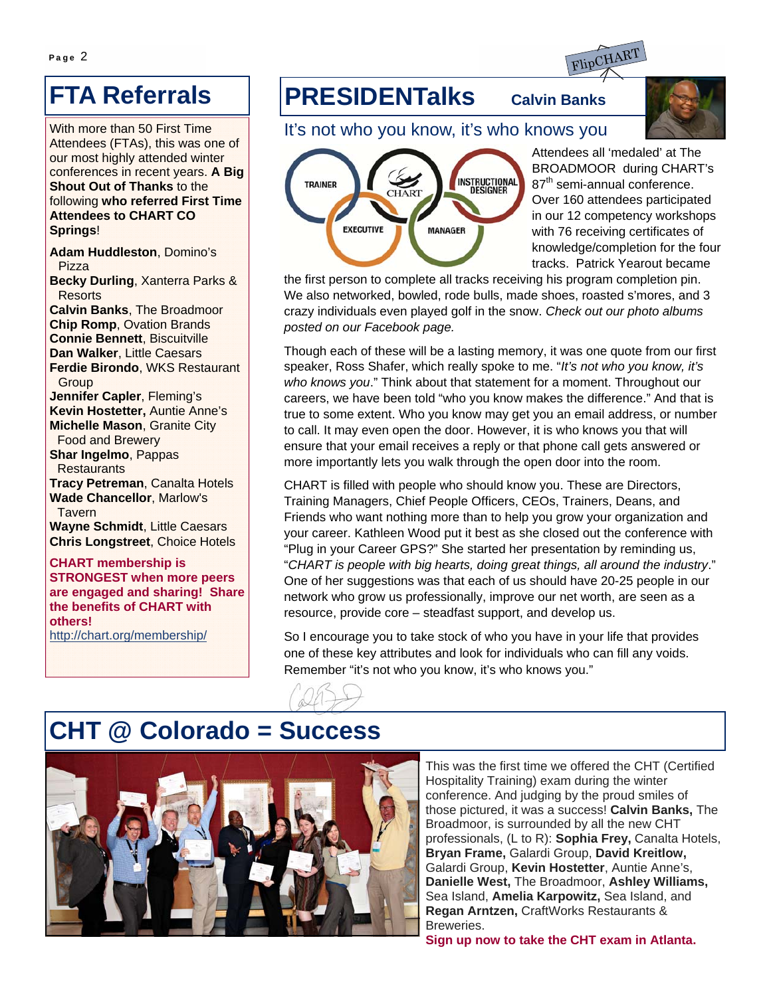

# **FTA Referrals**

With more than 50 First Time Attendees (FTAs), this was one of our most highly attended winter conferences in recent years. **A Big Shout Out of Thanks** to the following **who referred First Time Attendees to CHART CO Springs**!

**Adam Huddleston**, Domino's Pizza **Becky Durling**, Xanterra Parks &

Resorts

**Calvin Banks**, The Broadmoor **Chip Romp**, Ovation Brands **Connie Bennett**, Biscuitville **Dan Walker**, Little Caesars **Ferdie Birondo**, WKS Restaurant **Group Jennifer Capler**, Fleming's **Kevin Hostetter,** Auntie Anne's **Michelle Mason**, Granite City Food and Brewery **Shar Ingelmo**, Pappas **Restaurants Tracy Petreman**, Canalta Hotels **Wade Chancellor**, Marlow's

Tavern **Wayne Schmidt**, Little Caesars **Chris Longstreet**, Choice Hotels

**CHART membership is STRONGEST when more peers are engaged and sharing! Share the benefits of CHART with others!**  http://chart.org/membership/

## **PRESIDENTalks Calvin Banks**



It's not who you know, it's who knows you



Attendees all 'medaled' at The BROADMOOR during CHART's 87<sup>th</sup> semi-annual conference. Over 160 attendees participated in our 12 competency workshops with 76 receiving certificates of knowledge/completion for the four tracks. Patrick Yearout became

the first person to complete all tracks receiving his program completion pin. We also networked, bowled, rode bulls, made shoes, roasted s'mores, and 3 crazy individuals even played golf in the snow. *Check out our photo albums posted on our Facebook page.*

Though each of these will be a lasting memory, it was one quote from our first speaker, Ross Shafer, which really spoke to me. "*It's not who you know, it's who knows you*." Think about that statement for a moment. Throughout our careers, we have been told "who you know makes the difference." And that is true to some extent. Who you know may get you an email address, or number to call. It may even open the door. However, it is who knows you that will ensure that your email receives a reply or that phone call gets answered or more importantly lets you walk through the open door into the room.

CHART is filled with people who should know you. These are Directors, Training Managers, Chief People Officers, CEOs, Trainers, Deans, and Friends who want nothing more than to help you grow your organization and your career. Kathleen Wood put it best as she closed out the conference with "Plug in your Career GPS?" She started her presentation by reminding us, "*CHART is people with big hearts, doing great things, all around the industry*." One of her suggestions was that each of us should have 20-25 people in our network who grow us professionally, improve our net worth, are seen as a resource, provide core – steadfast support, and develop us.

So I encourage you to take stock of who you have in your life that provides one of these key attributes and look for individuals who can fill any voids. Remember "it's not who you know, it's who knows you."

# **CHT @ Colorado = Success**



This was the first time we offered the CHT (Certified Hospitality Training) exam during the winter conference. And judging by the proud smiles of those pictured, it was a success! **Calvin Banks,** The Broadmoor, is surrounded by all the new CHT professionals, (L to R): **Sophia Frey,** Canalta Hotels, **Bryan Frame,** Galardi Group, **David Kreitlow,**  Galardi Group, **Kevin Hostetter**, Auntie Anne's, **Danielle West,** The Broadmoor, **Ashley Williams,**  Sea Island, **Amelia Karpowitz,** Sea Island, and **Regan Arntzen,** CraftWorks Restaurants & Breweries.

**Sign up now to take the CHT exam in Atlanta.**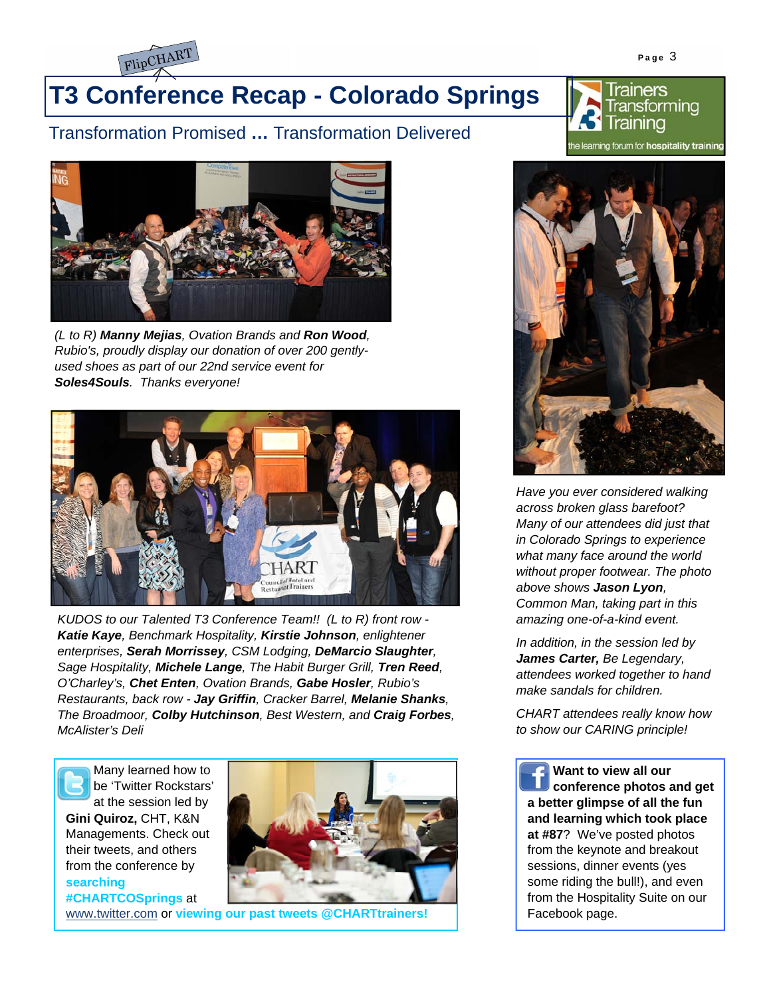

# **T3 Conference Recap - Colorado Springs**

#### Transformation Promised **…** Transformation Delivered





*(L to R) Manny Mejias, Ovation Brands and Ron Wood, Rubio's, proudly display our donation of over 200 gentlyused shoes as part of our 22nd service event for Soles4Souls. Thanks everyone!* 



*KUDOS to our Talented T3 Conference Team!! (L to R) front row - Katie Kaye, Benchmark Hospitality, Kirstie Johnson, enlightener enterprises, Serah Morrissey, CSM Lodging, DeMarcio Slaughter, Sage Hospitality, Michele Lange, The Habit Burger Grill, Tren Reed, O'Charley's, Chet Enten, Ovation Brands, Gabe Hosler, Rubio's Restaurants, back row - Jay Griffin, Cracker Barrel, Melanie Shanks, The Broadmoor, Colby Hutchinson, Best Western, and Craig Forbes, McAlister's Deli* 

Many learned how to be 'Twitter Rockstars' at the session led by

**Gini Quiroz,** CHT, K&N Managements. Check out their tweets, and others from the conference by **searching #CHARTCOSprings** at



www.twitter.com or **viewing our past tweets @CHARTtrainers!** 



*Have you ever considered walking across broken glass barefoot? Many of our attendees did just that in Colorado Springs to experience what many face around the world without proper footwear. The photo above shows Jason Lyon, Common Man, taking part in this amazing one-of-a-kind event.* 

*In addition, in the session led by James Carter, Be Legendary, attendees worked together to hand make sandals for children.* 

*CHART attendees really know how to show our CARING principle!* 

**Want to view all our conference photos and get a better glimpse of all the fun and learning which took place at #87**? We've posted photos from the keynote and breakout sessions, dinner events (yes some riding the bull!), and even from the Hospitality Suite on our Facebook page.